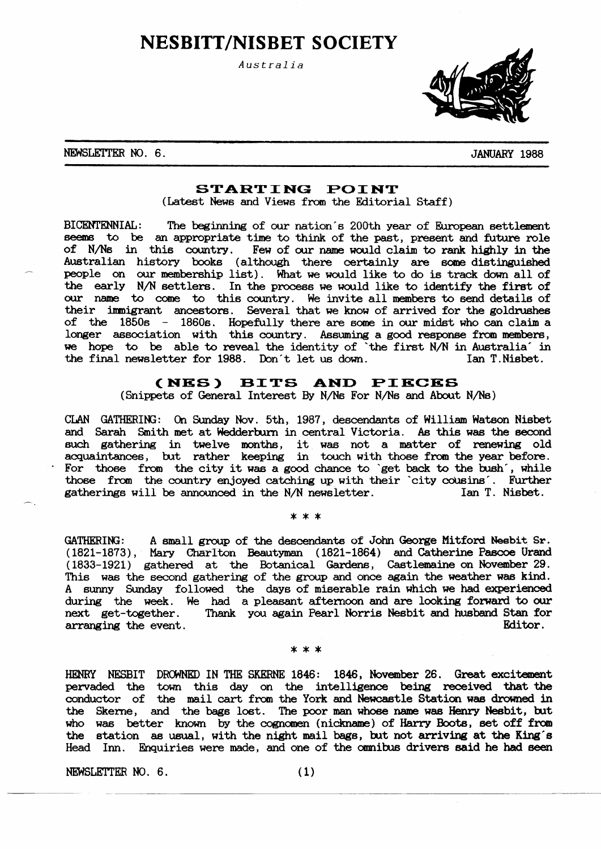# **NESBITT/NISBET SOCIETY**

Australia



### NEWSLETTER NO. 6.

**JANUARY 1988** 

# STARTING POINT

(Latest News and Views from the Editorial Staff)

BICENTENNIAL: The beginning of our nation's 200th year of European settlement seems to be an appropriate time to think of the past, present and future role of N/Ns in this country. Few of our name would claim to rank highly in the Australian history books (although there certainly are some distinguished people on our membership list). What we would like to do is track down all of the early N/N settlers. In the process we would like to identify the first of our name to come to this country. We invite all members to send details of their immigrant ancestors. Several that we know of arrived for the goldrushes of the  $1850s$  -  $1860s$ . Hopefully there are some in our midst who can claim a longer association with this country. Assuming a good response from members, we hope to be able to reveal the identity of 'the first N/N in Australia' in the final newsletter for 1988. Don't let us down. Ian T.Nisbet.

#### (NES) **BITS** AND PIECES

(Snippets of General Interest By N/Ns For N/Ns and About N/Ns)

CLAN GATHERING: On Sunday Nov. 5th, 1987, descendants of William Watson Nisbet and Sarah Smith met at Wedderburn in central Victoria. As this was the second such gathering in twelve months, it was not a matter of renewing old acquaintances, but rather keeping in touch with those from the year before. For those from the city it was a good chance to 'get back to the bush', while those from the country enjoyed catching up with their 'city cousins'. Further Ian T. Nisbet. gatherings will be announced in the N/N newsletter.

 $* * *$ 

A small group of the descendants of John George Mitford Nesbit Sr. **GATHERING:** (1821-1873), Mary Charlton Beautyman (1821-1864) and Catherine Pascoe Urand (1833-1921) gathered at the Botanical Gardens, Castlemaine on November 29. This was the second gathering of the group and once again the weather was kind. A sunny Sunday followed the days of miserable rain which we had experienced during the week. We had a pleasant afternoon and are looking forward to our next get-together. Thank you again Pearl Norris Nesbit and husband Stan for Editor. arranging the event.

#### \* \* \*

HENRY NESBIT DROWNED IN THE SKERNE 1846: 1846, November 26. Great excitement pervaded the town this day on the intelligence being received that the conductor of the mail cart from the York and Newcastle Station was drowned in the Skerne, and the bags lost. The poor man whose name was Henry Nesbit, but who was better known by the cognomen (nickname) of Harry Boots, set off from the station as usual, with the night mail bags, but not arriving at the King's Head Inn. Enquiries were made, and one of the omnibus drivers said he had seen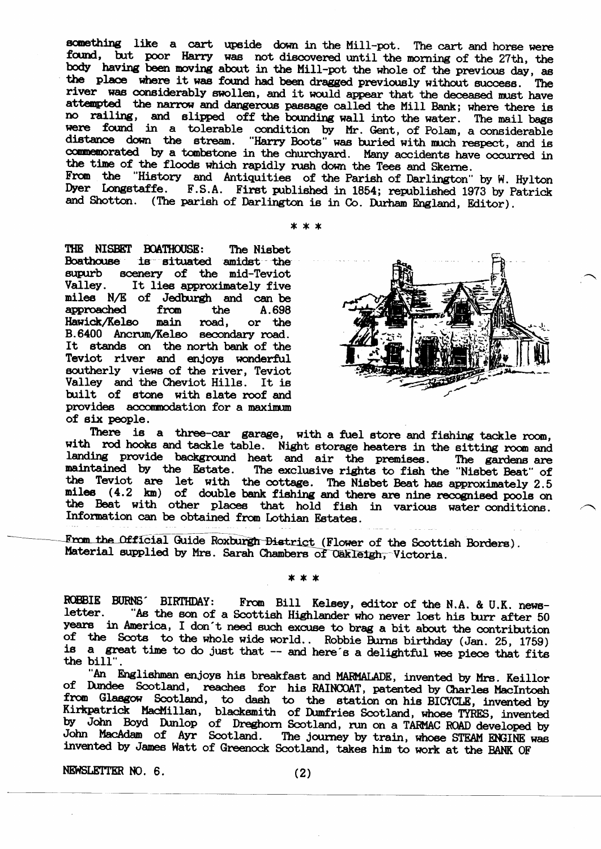something like a cart upside down in the Mill-pot. The cart and horse were found, but poor Harry was not discovered until the morning of the 27th, the body having been moving about in the Mill-pot the whole of the previous day, as the place where it was found had been dragged previously without success. The river was considerably swollen, and it would appear that the deceased must have attempted the narrow and dangerous passage called the Mill Bank; where there is no railing, and slipped off the bounding wall into the water. The mail bags were found in a tolerable condition by Mr. Gent, of Polam, a considerable distance down the stream. "Harry Boots" was buried with much respect, and is commemorated by a tombstone in the churchyard. Many accidents have occurred in the time of the floods which rapidly rush down the Tees and Skerne.

From the "History and Antiquities of the Parish of Darlington" by W. Hylton Dyer Longstaffe. F.S.A. First published in 1854; republished 1973 by Patrick and Shotton. (The parish of Darlington is in Co. Durham England, Editor).

 $* * *$ 

THE NISBET BOATHOUSE: The Nisbet **Boathouse** is situated amidst the supurb scenery of the mid-Teviot Valley. It lies approximately five miles N/E of Jedburgh and can be approached from the A.698 **Hawick/Kelso** main road, or the B.6400 Ancrum/Kelso secondary road. It stands on the north bank of the Teviot river and enjoys wonderful southerly views of the river. Teviot Valley and the Cheviot Hills. It is built of stone with slate roof and provides accommodation for a maximum of six people.



There is a three-car garage, with a fuel store and fishing tackle room, with rod hooks and tackle table. Night storage heaters in the sitting room and landing provide background heat and air the premises. The gardens are maintained by the Estate. The exclusive rights to fish the "Nisbet Beat" of<br>the Teviot are let with the cottage. The Nisbet Beat has approximately 2.5<br>miles (4.2 km) of double bank fishing and there are nine recognised poo the Beat with other places that hold fish in various water conditions. Information can be obtained from Lothian Estates.

From the Official Guide Roxburgh District (Flower of the Scottish Borders). Material supplied by Mrs. Sarah Chambers of Cakleigh, Victoria.

\* \* \*

ROBBIE BURNS BIRTHDAY: From Bill Kelsey, editor of the N.A. & U.K. newsletter. "As the son of a Scottish Highlander who never lost his burr after 50 years in America, I don't need such excuse to brag a bit about the contribution of the Scots to the whole wide world.. Robbie Burns birthday (Jan. 25, 1759) is a great time to do just that -- and here's a delightful wee piece that fits the bill".

"An Englishman enjoys his breakfast and MARMALADE, invented by Mrs. Keillor of Dundee Scotland, reaches for his RAINCOAT, patented by Charles MacIntosh from Glasgow Scotland, to dash to the station on his BICYCLE, invented by Kirkpatrick MacMillan, blacksmith of Dumfries Scotland, whose TYRES, invented by John Boyd Dunlop of Dreghorn Scotland, run on a TARMAC ROAD developed by John MacAdam of Ayr Scotland. The journey by train, whose STEAM ENGINE was invented by James Watt of Greenock Scotland, takes him to work at the BANK OF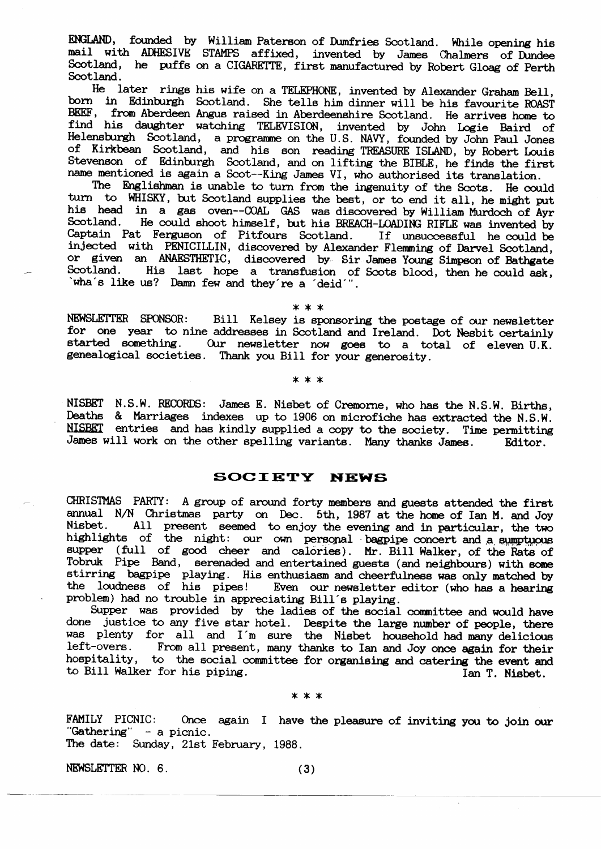ENGLAND, founded by William Paterson of Dumfries Scotland. While opening his mail with ADHESIVE STAMPS affixed, invented by James Chalmers of Dundee Scotland, he puffs on a CIGARETTE, first manufactured by Robert Gloag of Perth Scotland.

He later rings his wife on a TELEPHONE, invented by Alexander Graham Bell, born in Edinburgh Scotland. She tells him dinner will be his favourite ROAST BEEF, from Aberdeen Angus raised in Aberdeenshire Scotland. He arrives home to find his daughter watching TELEVISION, invented by John Logie Baird of Helensburgh Scotland, a programme on the U.S. NAVY, founded by John Paul Jones of Kirkbean Scotland, and his son reading TREASURE ISLAND, by Robert Louis Stevenson of Edinburgh Scotland, and on lifting the BIBLE, he finds the first name mentioned is again a Scot--King James VI, who authorised its translation.

The Englishman is unable to turn from the ingenuity of the Scots. He could turn to WHISKY, but Scotland supplies the best, or to end it all, he might put his head in a gas oven--COAL GAS was discovered by William Murdoch of Ayr He could shoot himself, but his BREACH-LOADING RIFLE was invented by Scotland. Captain Pat Ferguson of Pitfours Scotland. If unsuccessful he could be injected with PENICILLIN, discovered by Alexander Flemming of Darvel Scotland, or given an ANAESTHETIC, discovered by Sir James Young Simpson of Bathgate Scotland. Scotland. His last hope a transfusion of Scots blood, then he could ask, wha's like us? Damn few and they're a 'deid'".

 $* * *$ 

NEWSLETTER SPONSOR: Bill Kelsey is sponsoring the postage of our newsletter for one year to nine addresses in Scotland and Ireland. Dot Nesbit certainly started something. Our newsletter now goes to a total of eleven U.K. genealogical societies. Thank you Bill for your generosity.

\* \* \*

NISBET N.S.W. RECORDS: James E. Nisbet of Cremorne, who has the N.S.W. Births, Deaths & Marriages indexes up to 1906 on microfiche has extracted the N.S.W. NISBET entries and has kindly supplied a copy to the society. Time permitting James will work on the other spelling variants. Many thanks James. Editor.

# **SOCIETY NEWS**

CHRISTMAS PARTY: A group of around forty members and guests attended the first annual N/N Christmas party on Dec. 5th, 1987 at the home of Ian M. and Joy<br>Nisbet. All present seemed to enjoy the evening and in particular, the two<br>highlights of the night: our own personal bagpipe concert and a sumptuou supper (full of good cheer and calories). Mr. Bill Walker, of the Rats of Tobruk Pipe Band, serenaded and entertained guests (and neighbours) with some stirring bagpipe playing. His enthusiasm and cheerfulness was only matched by the loudness of his pipes! Even our newsletter editor (who has a hearing problem) had no trouble in appreciating Bill's playing.

Supper was provided by the ladies of the social committee and would have done justice to any five star hotel. Despite the large number of people, there was plenty for all and I'm sure the Nisbet household had many delicious left-overs. From all present, many thanks to Ian and Joy once again for their hospitality, to the social committee for organising and catering the event and to Bill Walker for his piping. Ian T. Nisbet.

#### \* \* \*

Once again I have the pleasure of inviting you to join our **FAMILY PICNIC:** "Gathering" - a picnic. The date: Sunday, 21st February, 1988.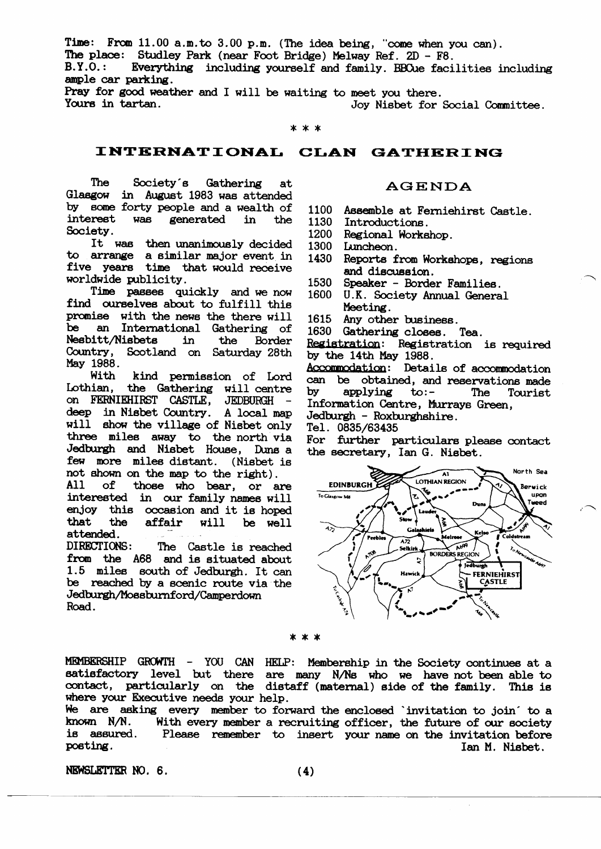Time: From 11.00 a.m.to 3.00 p.m. (The idea being, "come when you can).

The place: Studley Park (near Foot Bridge) Melway Ref. 2D - F8.

 $B.Y.0.$ : Everything including yourself and family. BBCue facilities including ample car parking.

Pray for good weather and I will be waiting to meet you there. Yours in tartan. Joy Nisbet for Social Committee.

 $*$ 

# INTERNATIONAL CLAN GATHERING

The Society's Gathering at Glasgow in August 1983 was attended by some forty people and a wealth of interest **WAB** generated in the Society.

It was then unanimously decided to arrange a similar major event in five years time that would receive worldwide publicity.

Time passes quickly and we now find ourselves about to fulfill this promise with the news the there will be an International Gathering of Nesbitt/Nisbets in the Border Country, Scotland on Saturday 28th May 1988.

With kind permission of Lord Lothian, the Gathering will centre on FERNIEHIRST CASTLE, JEDBURGH deep in Nisbet Country. A local map will show the village of Nisbet only three miles away to the north via Jedburgh and Nisbet House, Duns a few more miles distant. (Nisbet is not shown on the map to the right).

 $A11$  $of$ those who bear, or are interested in our family names will enjoy this occasion and it is hoped that the affair will be well attended.

DIRECTIONS: The Castle is reached from the A68 and is situated about 1.5 miles south of Jedburgh. It can be reached by a scenic route via the Jedburgh/Mossburnford/Camperdown Road.

# **AGENDA**

1100 Assemble at Ferniehirst Castle.

Introductions. 1130

1200 Regional Workshop.

1300 Luncheon.

- 1430 Reports from Workshops, regions and discussion.
- 1530 Speaker - Border Families.
- 1600 U.K. Society Annual General Meeting.
- 1615 Any other business.
- 1630 Gathering closes. Tea.

Registration: Registration is required by the 14th May 1988.

Accommodation: Details of accommodation can be obtained, and reservations made by applying  $\mathbf{to}$ :-The Tourist Information Centre, Murrays Green, Jedburgh - Roxburghshire.

Tel. 0835/63435

For further particulars please contact the secretary, Ian G. Nisbet.



\* \* \*

MEMBERSHIP GROWTH - YOU CAN HELP: Membership in the Society continues at a satisfactory level but there are many N/Ns who we have not been able to contact, particularly on the distaff (maternal) side of the family. This is where your Executive needs your help.

We are asking every member to forward the enclosed invitation to join to a known N/N. With every member a recruiting officer, the future of our society is assured. Please remember to insert your name on the invitation before posting. Ian M. Nisbet.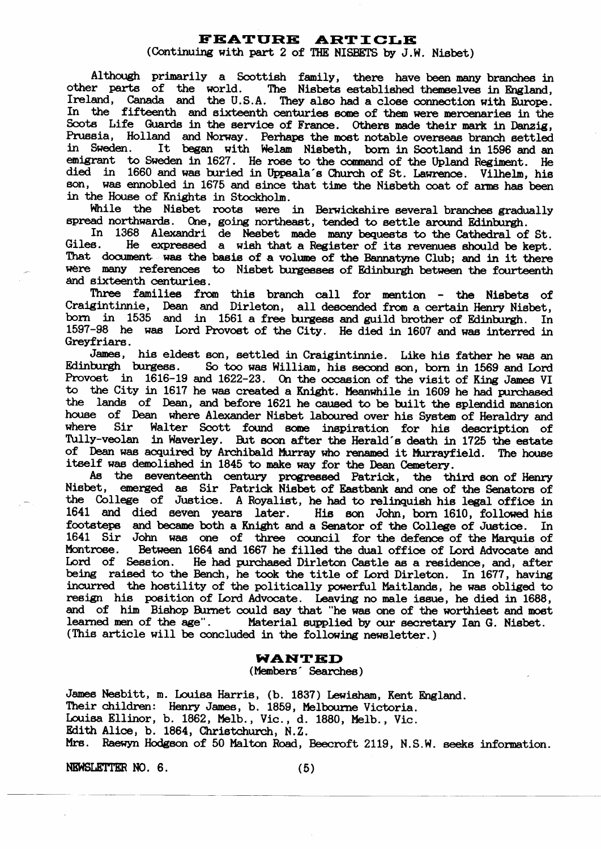# **FEATURE ARTICLE**

(Continuing with part 2 of THE NISBETS by J.W. Nisbet)

Although primarily a Scottish family, there have been many branches in other parts of the world. The Nisbets established themselves in England, Ireland, Canada and the U.S.A. They also had a close connection with Europe. In the fifteenth and sixteenth centuries some of them were mercenaries in the Scots Life Guards in the service of France. Others made their mark in Danzig, Prussia, Holland and Norway. Perhaps the most notable overseas branch settled in Sweden. It began with Welam Nisbeth, born in Scotland in 1596 and an emigrant to Sweden in 1627. He rose to the command of the Upland Regiment. He died in 1660 and was buried in Uppsala's Church of St. Lawrence. Vilhelm, his son, was ennobled in 1675 and since that time the Nisbeth coat of arms has been in the House of Knights in Stockholm.

While the Nisbet roots were in Berwickshire several branches gradually spread northwards. One, going northeast, tended to settle around Edinburgh.

In 1368 Alexandri de Nesbet made many bequests to the Cathedral of St. Giles. He expressed a wish that a Register of its revenues should be kept. That document was the basis of a volume of the Bannatyne Club; and in it there were many references to Nisbet burgesses of Edinburgh between the fourteenth and sixteenth centuries.

Three families from this branch call for mention - the Nisbets of Craigintinnie, Dean and Dirleton, all descended from a certain Henry Nisbet, born in 1535 and in 1561 a free burgess and guild brother of Edinburgh. In 1597-98 he was Lord Provost of the City. He died in 1607 and was interred in Greyfriars.

James, his eldest son, settled in Craigintinnie. Like his father he was an Edinburgh burgess. So too was William, his second son, born in 1569 and Lord Provost in 1616-19 and 1622-23. On the occasion of the visit of King James VI to the City in 1617 he was created a Knight. Meanwhile in 1609 he had purchased the lands of Dean, and before 1621 he caused to be built the splendid mansion house of Dean where Alexander Nisbet laboured over his System of Heraldry and where Sir Walter Scott found some inspiration for his description of Tully-veolan in Waverley. But soon after the Herald's death in 1725 the estate of Dean was acquired by Archibald Murray who renamed it Murrayfield. The house itself was demolished in 1845 to make way for the Dean Cemetery.

As the seventeenth century progressed Patrick, the third son of Henry Nisbet, emerged as Sir Patrick Nisbet of Eastbank and one of the Senators of the College of Justice. A Royalist, he had to relinquish his legal office in 1641 and died seven years later. His son John, born 1610, followed his footsteps and became both a Knight and a Senator of the College of Justice. In 1641 Sir John was one of three council for the defence of the Marquis of Between 1664 and 1667 he filled the dual office of Lord Advocate and Montrose. Lord of Session. He had purchased Dirleton Castle as a residence, and, after being raised to the Bench, he took the title of Lord Dirleton. In 1677, having incurred the hostility of the politically powerful Maitlands, he was obliged to resign his position of Lord Advocate. Leaving no male issue, he died in 1688, and of him Bishop Burnet could say that "he was one of the worthiest and most learned men of the age". Material supplied by our secretary Ian G. Nisbet. (This article will be concluded in the following newsletter.)

#### WANTED

#### (Members Searches)

James Nesbitt, m. Louisa Harris, (b. 1837) Lewisham, Kent England. Their children: Henry James, b. 1859, Melbourne Victoria. Louisa Ellinor, b. 1862, Melb., Vic., d. 1880, Melb., Vic. Edith Alice, b. 1864, Christchurch, N.Z. Mrs. Raewyn Hodgson of 50 Malton Road, Beecroft 2119, N.S.W. seeks information.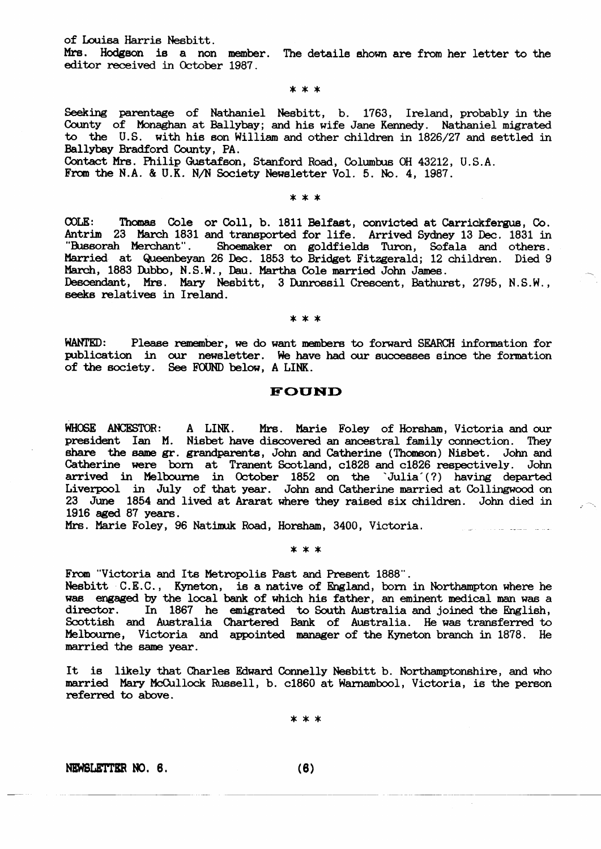of Louisa Harris Nesbitt.

Mrs. Hodgson is a non member. The details shown are from her letter to the editor received in October 1987.

#### \* \* \*

Seeking parentage of Nathaniel Nesbitt, b. 1763, Ireland, probably in the County of Monaghan at Ballybay; and his wife Jane Kennedy. Nathaniel migrated to the U.S. with his son William and other children in 1826/27 and settled in Ballybay Bradford County, PA.

Contact Mrs. Philip Gustafson, Stanford Road, Columbus OH 43212, U.S.A. From the N.A. & U.K. N/N Society Newsletter Vol. 5. No. 4, 1987.

#### \* \* \*

 $COLE:$ Thomas Cole or Coll, b. 1811 Belfast, convicted at Carrickfergus, Co. Antrim 23 March 1831 and transported for life. Arrived Sydney 13 Dec. 1831 in "Bussorah Merchant". Shoemaker on goldfields Turon, Sofala and others. Married at Queenbeyan 26 Dec. 1853 to Bridget Fitzgerald; 12 children. Died 9 March, 1883 Dubbo, N.S.W., Dau. Martha Cole married John James. Descendant, Mrs. Mary Nesbitt, 3 Dunrossil Crescent, Bathurst, 2795, N.S.W., seeks relatives in Ireland.

#### $* * *$

WANTED: Please remember, we do want members to forward SEARCH information for publication in our newsletter. We have had our successes since the formation of the society. See FOUND below, A LINK.

### **FOUND**

WHOSE ANCESTOR: A LINK. Mrs. Marie Foley of Horsham, Victoria and our president Ian M. Nisbet have discovered an ancestral family connection. They share the same gr. grandparents, John and Catherine (Thomson) Nisbet. John and Catherine were born at Tranent Scotland, c1828 and c1826 respectively. John arrived in Melbourne in October 1852 on the 'Julia'(?) having departed Liverpool in July of that year. John and Catherine married at Collingwood on 23 June 1854 and lived at Ararat where they raised six children. John died in 1916 aged 87 years.

Mrs. Marie Foley, 96 Natimuk Road, Horsham, 3400, Victoria.

#### \* \* \*

From "Victoria and Its Metropolis Past and Present 1888".

Nesbitt C.E.C., Kyneton, is a native of England, born in Northampton where he was engaged by the local bank of which his father, an eminent medical man was a In 1867 he emigrated to South Australia and joined the English, director. Scottish and Australia Chartered Bank of Australia. He was transferred to Melbourne, Victoria and appointed manager of the Kyneton branch in 1878. He married the same year.

It is likely that Charles Edward Connelly Nesbitt b. Northamptonshire, and who married Mary McCullock Russell, b. c1860 at Warnambool, Victoria, is the person referred to above.

\* \* \*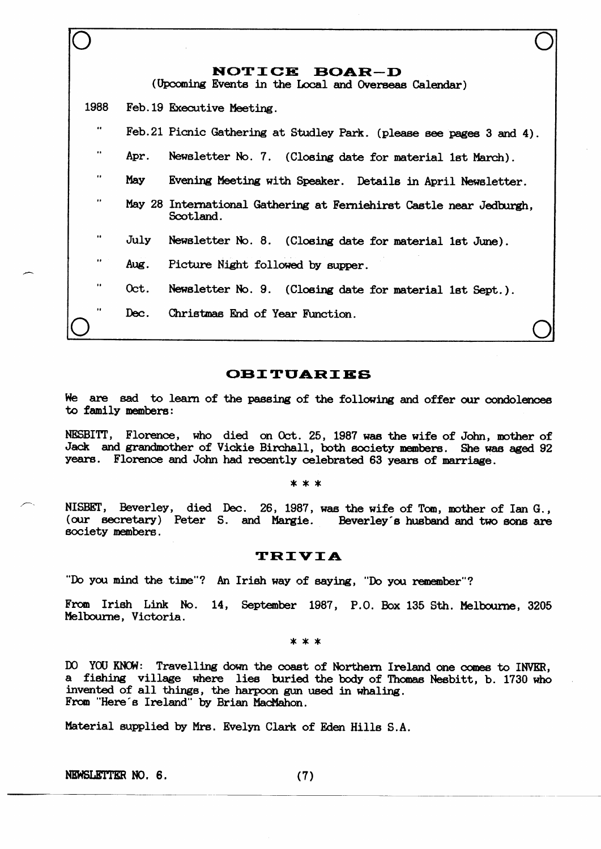|                   |      | NOTICE BOAR-D<br>(Upcoming Events in the Local and Overseas Calendar)            |
|-------------------|------|----------------------------------------------------------------------------------|
| 1988              |      | Feb. 19 Executive Meeting.                                                       |
| $\bullet\bullet$  |      | Feb. 21 Picnic Gathering at Studley Park. (please see pages 3 and 4).            |
| $\bullet$         | Apr. | Newsletter No. 7. (Closing date for material 1st March).                         |
| $\bullet \bullet$ | May  | Evening Meeting with Speaker. Details in April Newsletter.                       |
|                   |      | May 28 International Gathering at Ferniehirst Castle near Jedburgh,<br>Scotland. |
| $\bullet\bullet$  | July | Newsletter No. 8. (Closing date for material 1st June).                          |
| $\bullet\bullet$  | Aug. | Picture Night followed by supper.                                                |
| $\bullet$         | Oct. | Newsletter No. 9. (Closing date for material 1st Sept.).                         |
|                   | Dec. | Christmas End of Year Function.                                                  |

# **OBITUARIES**

We are sad to learn of the passing of the following and offer our condolences to family members:

NESBITT, Florence, who died on Oct. 25, 1987 was the wife of John, mother of Jack and grandmother of Vickie Birchall, both society members. She was aged 92 years. Florence and John had recently celebrated 63 years of marriage.

#### $* * *$

NISBET, Beverley, died Dec. 26, 1987, was the wife of Tom, mother of Ian G., (our secretary) Peter S. and Margie. Beverley's husband and two sons are society members.

### **TRIVIA**

"Do you mind the time"? An Irish way of saying, "Do you remember"?

From Irish Link No. 14, September 1987, P.O. Box 135 Sth. Melbourne, 3205 Melbourne, Victoria.

\* \* \*

DO YOU KNOW: Travelling down the coast of Northern Ireland one comes to INVER, a fishing village where lies buried the body of Thomas Nesbitt, b. 1730 who invented of all things, the harpoon gun used in whaling. From "Here's Ireland" by Brian MacMahon.

Material supplied by Mrs. Evelyn Clark of Eden Hills S.A.